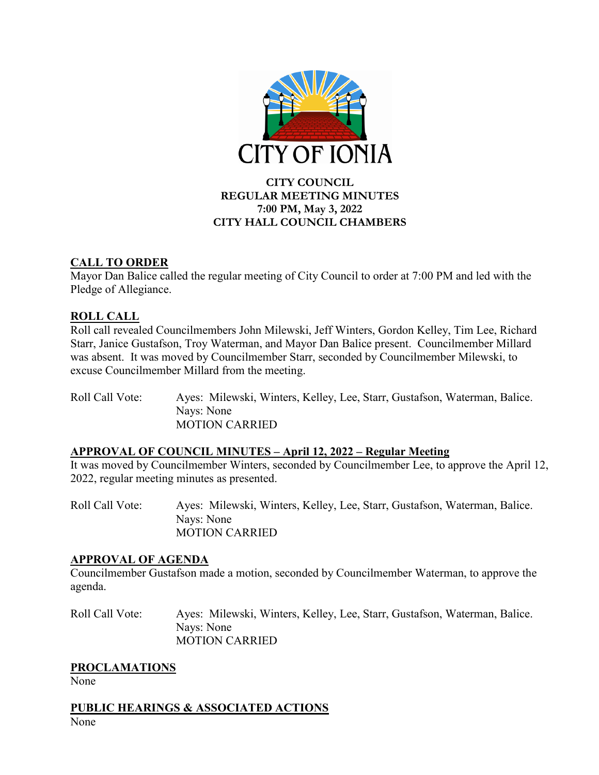

### **CITY COUNCIL REGULAR MEETING MINUTES 7:00 PM, May 3, 2022 CITY HALL COUNCIL CHAMBERS**

### **CALL TO ORDER**

Mayor Dan Balice called the regular meeting of City Council to order at 7:00 PM and led with the Pledge of Allegiance.

## **ROLL CALL**

Roll call revealed Councilmembers John Milewski, Jeff Winters, Gordon Kelley, Tim Lee, Richard Starr, Janice Gustafson, Troy Waterman, and Mayor Dan Balice present. Councilmember Millard was absent. It was moved by Councilmember Starr, seconded by Councilmember Milewski, to excuse Councilmember Millard from the meeting.

Roll Call Vote: Ayes: Milewski, Winters, Kelley, Lee, Starr, Gustafson, Waterman, Balice. Nays: None MOTION CARRIED

## **APPROVAL OF COUNCIL MINUTES – April 12, 2022 – Regular Meeting**

It was moved by Councilmember Winters, seconded by Councilmember Lee, to approve the April 12, 2022, regular meeting minutes as presented.

Roll Call Vote: Ayes: Milewski, Winters, Kelley, Lee, Starr, Gustafson, Waterman, Balice. Nays: None MOTION CARRIED

### **APPROVAL OF AGENDA**

Councilmember Gustafson made a motion, seconded by Councilmember Waterman, to approve the agenda.

Roll Call Vote: Ayes: Milewski, Winters, Kelley, Lee, Starr, Gustafson, Waterman, Balice. Nays: None MOTION CARRIED

### **PROCLAMATIONS**

None

**PUBLIC HEARINGS & ASSOCIATED ACTIONS** None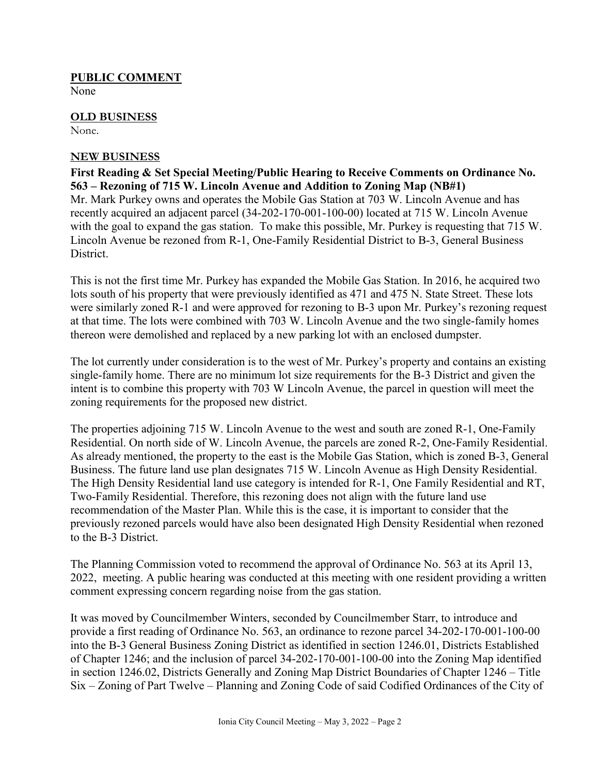#### **PUBLIC COMMENT**

None

# **OLD BUSINESS**

None.

#### **NEW BUSINESS**

**First Reading & Set Special Meeting/Public Hearing to Receive Comments on Ordinance No. 563 – Rezoning of 715 W. Lincoln Avenue and Addition to Zoning Map (NB#1)**  Mr. Mark Purkey owns and operates the Mobile Gas Station at 703 W. Lincoln Avenue and has recently acquired an adjacent parcel (34-202-170-001-100-00) located at 715 W. Lincoln Avenue with the goal to expand the gas station. To make this possible, Mr. Purkey is requesting that 715 W. Lincoln Avenue be rezoned from R-1, One-Family Residential District to B-3, General Business District.

This is not the first time Mr. Purkey has expanded the Mobile Gas Station. In 2016, he acquired two lots south of his property that were previously identified as 471 and 475 N. State Street. These lots were similarly zoned R-1 and were approved for rezoning to B-3 upon Mr. Purkey's rezoning request at that time. The lots were combined with 703 W. Lincoln Avenue and the two single-family homes thereon were demolished and replaced by a new parking lot with an enclosed dumpster.

The lot currently under consideration is to the west of Mr. Purkey's property and contains an existing single-family home. There are no minimum lot size requirements for the B-3 District and given the intent is to combine this property with 703 W Lincoln Avenue, the parcel in question will meet the zoning requirements for the proposed new district.

The properties adjoining 715 W. Lincoln Avenue to the west and south are zoned R-1, One-Family Residential. On north side of W. Lincoln Avenue, the parcels are zoned R-2, One-Family Residential. As already mentioned, the property to the east is the Mobile Gas Station, which is zoned B-3, General Business. The future land use plan designates 715 W. Lincoln Avenue as High Density Residential. The High Density Residential land use category is intended for R-1, One Family Residential and RT, Two-Family Residential. Therefore, this rezoning does not align with the future land use recommendation of the Master Plan. While this is the case, it is important to consider that the previously rezoned parcels would have also been designated High Density Residential when rezoned to the B-3 District.

The Planning Commission voted to recommend the approval of Ordinance No. 563 at its April 13, 2022, meeting. A public hearing was conducted at this meeting with one resident providing a written comment expressing concern regarding noise from the gas station.

It was moved by Councilmember Winters, seconded by Councilmember Starr, to introduce and provide a first reading of Ordinance No. 563, an ordinance to rezone parcel 34-202-170-001-100-00 into the B-3 General Business Zoning District as identified in section 1246.01, Districts Established of Chapter 1246; and the inclusion of parcel 34-202-170-001-100-00 into the Zoning Map identified in section 1246.02, Districts Generally and Zoning Map District Boundaries of Chapter 1246 – Title Six – Zoning of Part Twelve – Planning and Zoning Code of said Codified Ordinances of the City of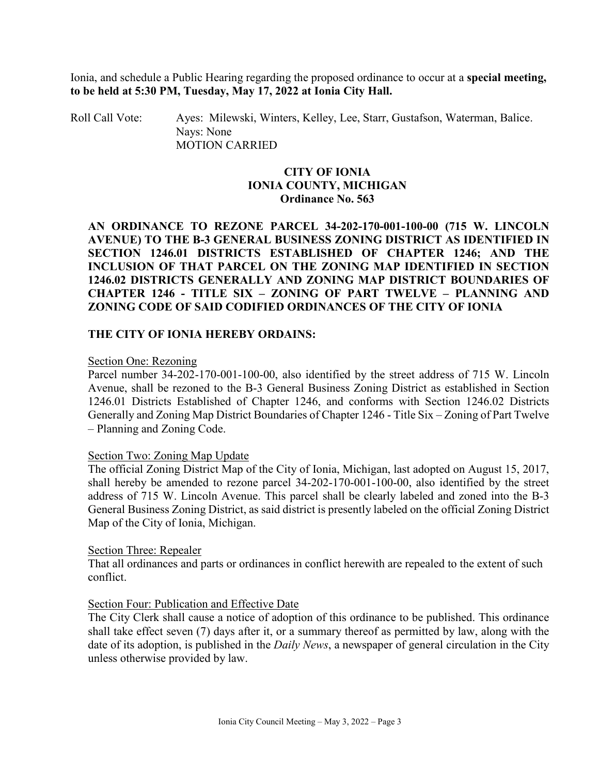Ionia, and schedule a Public Hearing regarding the proposed ordinance to occur at a **special meeting, to be held at 5:30 PM, Tuesday, May 17, 2022 at Ionia City Hall.**

Roll Call Vote: Ayes: Milewski, Winters, Kelley, Lee, Starr, Gustafson, Waterman, Balice. Nays: None MOTION CARRIED

#### **CITY OF IONIA IONIA COUNTY, MICHIGAN Ordinance No. 563**

**AN ORDINANCE TO REZONE PARCEL 34-202-170-001-100-00 (715 W. LINCOLN AVENUE) TO THE B-3 GENERAL BUSINESS ZONING DISTRICT AS IDENTIFIED IN SECTION 1246.01 DISTRICTS ESTABLISHED OF CHAPTER 1246; AND THE INCLUSION OF THAT PARCEL ON THE ZONING MAP IDENTIFIED IN SECTION 1246.02 DISTRICTS GENERALLY AND ZONING MAP DISTRICT BOUNDARIES OF CHAPTER 1246 - TITLE SIX – ZONING OF PART TWELVE – PLANNING AND ZONING CODE OF SAID CODIFIED ORDINANCES OF THE CITY OF IONIA**

#### **THE CITY OF IONIA HEREBY ORDAINS:**

#### Section One: Rezoning

Parcel number 34-202-170-001-100-00, also identified by the street address of 715 W. Lincoln Avenue, shall be rezoned to the B-3 General Business Zoning District as established in Section 1246.01 Districts Established of Chapter 1246, and conforms with Section 1246.02 Districts Generally and Zoning Map District Boundaries of Chapter 1246 - Title Six – Zoning of Part Twelve – Planning and Zoning Code.

#### Section Two: Zoning Map Update

The official Zoning District Map of the City of Ionia, Michigan, last adopted on August 15, 2017, shall hereby be amended to rezone parcel 34-202-170-001-100-00, also identified by the street address of 715 W. Lincoln Avenue. This parcel shall be clearly labeled and zoned into the B-3 General Business Zoning District, as said district is presently labeled on the official Zoning District Map of the City of Ionia, Michigan.

#### Section Three: Repealer

That all ordinances and parts or ordinances in conflict herewith are repealed to the extent of such conflict.

#### Section Four: Publication and Effective Date

The City Clerk shall cause a notice of adoption of this ordinance to be published. This ordinance shall take effect seven (7) days after it, or a summary thereof as permitted by law, along with the date of its adoption, is published in the *Daily News*, a newspaper of general circulation in the City unless otherwise provided by law.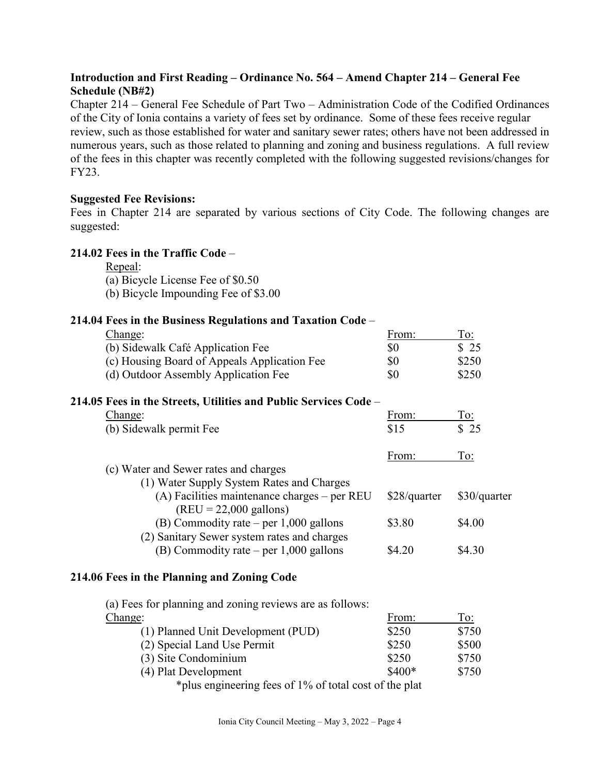#### **Introduction and First Reading – Ordinance No. 564 – Amend Chapter 214 – General Fee Schedule (NB#2)**

Chapter 214 – General Fee Schedule of Part Two – Administration Code of the Codified Ordinances of the City of Ionia contains a variety of fees set by ordinance. Some of these fees receive regular review, such as those established for water and sanitary sewer rates; others have not been addressed in numerous years, such as those related to planning and zoning and business regulations. A full review of the fees in this chapter was recently completed with the following suggested revisions/changes for FY23.

#### **Suggested Fee Revisions:**

Fees in Chapter 214 are separated by various sections of City Code. The following changes are suggested:

#### **214.02 Fees in the Traffic Code** –

Repeal:

(a) Bicycle License Fee of \$0.50

(b) Bicycle Impounding Fee of \$3.00

### **214.04 Fees in the Business Regulations and Taxation Code** –

| Change:                                                                    | From:        | To:          |
|----------------------------------------------------------------------------|--------------|--------------|
| (b) Sidewalk Café Application Fee                                          | \$0          | \$25         |
| (c) Housing Board of Appeals Application Fee                               | \$0          | \$250        |
| (d) Outdoor Assembly Application Fee                                       | \$0          | \$250        |
| 214.05 Fees in the Streets, Utilities and Public Services Code –           |              |              |
| Change:                                                                    | From:        | To:          |
| (b) Sidewalk permit Fee                                                    | \$15         | \$25         |
|                                                                            | From:        | To:          |
| (c) Water and Sewer rates and charges                                      |              |              |
| (1) Water Supply System Rates and Charges                                  |              |              |
| $(A)$ Facilities maintenance charges – per REU<br>$(REU = 22,000$ gallons) | \$28/quarter | \$30/quarter |
| (B) Commodity rate – per $1,000$ gallons                                   | \$3.80       | \$4.00       |
| (2) Sanitary Sewer system rates and charges                                |              |              |
| (B) Commodity rate – per $1,000$ gallons                                   | \$4.20       | \$4.30       |
|                                                                            |              |              |

#### **214.06 Fees in the Planning and Zoning Code**

(a) Fees for planning and zoning reviews are as follows:

| Change:                            | From:   | To:   |
|------------------------------------|---------|-------|
| (1) Planned Unit Development (PUD) | \$250   | \$750 |
| (2) Special Land Use Permit        | \$250   | \$500 |
| (3) Site Condominium               | \$250   | \$750 |
| (4) Plat Development               | $$400*$ | \$750 |
| $0.107 \t C_1 \t 1 \t C_2 \t 1$    |         |       |

\*plus engineering fees of 1% of total cost of the plat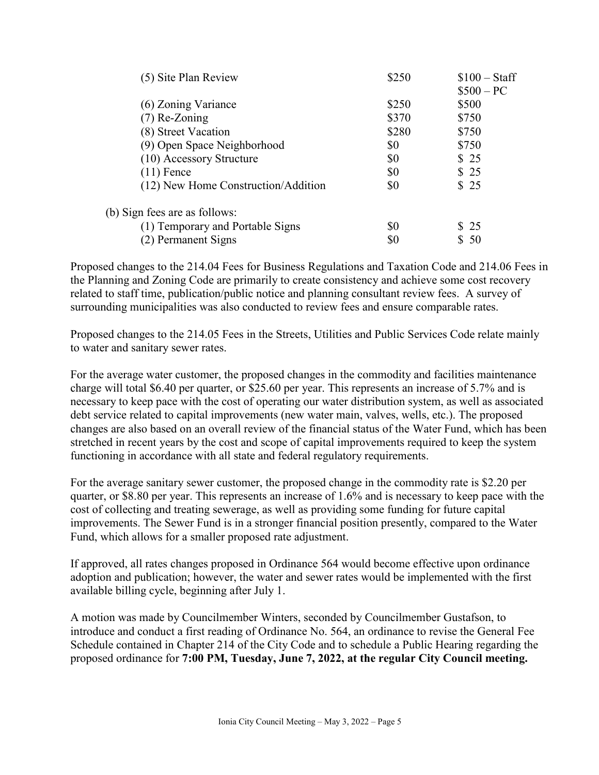| (5) Site Plan Review                | \$250 | $$100 - Staff$ |
|-------------------------------------|-------|----------------|
|                                     |       | $$500 - PC$    |
| (6) Zoning Variance                 | \$250 | \$500          |
| $(7)$ Re-Zoning                     | \$370 | \$750          |
| (8) Street Vacation                 | \$280 | \$750          |
| (9) Open Space Neighborhood         | \$0   | \$750          |
| (10) Accessory Structure            | \$0   | \$25           |
| $(11)$ Fence                        | \$0   | \$25           |
| (12) New Home Construction/Addition | \$0   | \$25           |
| (b) Sign fees are as follows:       |       |                |
| (1) Temporary and Portable Signs    | \$0   | \$25           |
| (2) Permanent Signs                 | \$0   | -50            |
|                                     |       |                |

Proposed changes to the 214.04 Fees for Business Regulations and Taxation Code and 214.06 Fees in the Planning and Zoning Code are primarily to create consistency and achieve some cost recovery related to staff time, publication/public notice and planning consultant review fees. A survey of surrounding municipalities was also conducted to review fees and ensure comparable rates.

Proposed changes to the 214.05 Fees in the Streets, Utilities and Public Services Code relate mainly to water and sanitary sewer rates.

For the average water customer, the proposed changes in the commodity and facilities maintenance charge will total \$6.40 per quarter, or \$25.60 per year. This represents an increase of 5.7% and is necessary to keep pace with the cost of operating our water distribution system, as well as associated debt service related to capital improvements (new water main, valves, wells, etc.). The proposed changes are also based on an overall review of the financial status of the Water Fund, which has been stretched in recent years by the cost and scope of capital improvements required to keep the system functioning in accordance with all state and federal regulatory requirements.

For the average sanitary sewer customer, the proposed change in the commodity rate is \$2.20 per quarter, or \$8.80 per year. This represents an increase of 1.6% and is necessary to keep pace with the cost of collecting and treating sewerage, as well as providing some funding for future capital improvements. The Sewer Fund is in a stronger financial position presently, compared to the Water Fund, which allows for a smaller proposed rate adjustment.

If approved, all rates changes proposed in Ordinance 564 would become effective upon ordinance adoption and publication; however, the water and sewer rates would be implemented with the first available billing cycle, beginning after July 1.

A motion was made by Councilmember Winters, seconded by Councilmember Gustafson, to introduce and conduct a first reading of Ordinance No. 564, an ordinance to revise the General Fee Schedule contained in Chapter 214 of the City Code and to schedule a Public Hearing regarding the proposed ordinance for **7:00 PM, Tuesday, June 7, 2022, at the regular City Council meeting.**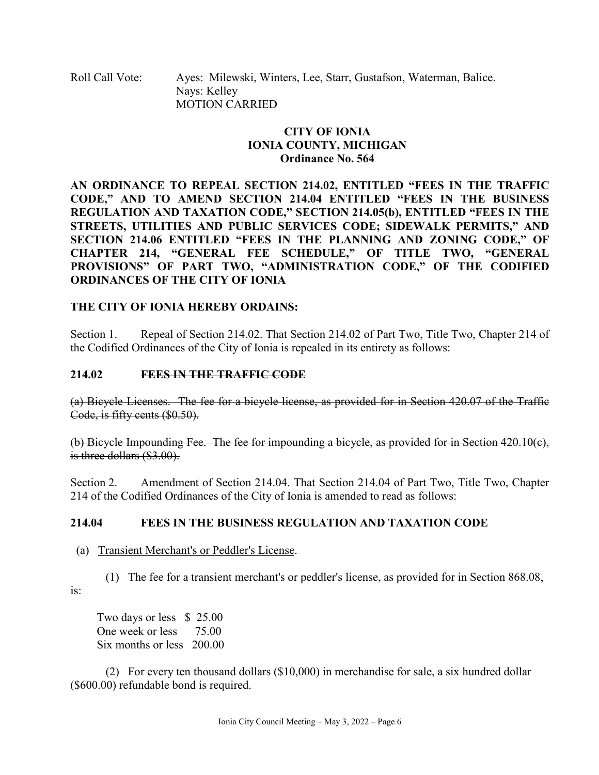Roll Call Vote: Ayes: Milewski, Winters, Lee, Starr, Gustafson, Waterman, Balice. Nays: Kelley MOTION CARRIED

### **CITY OF IONIA IONIA COUNTY, MICHIGAN Ordinance No. 564**

**AN ORDINANCE TO REPEAL SECTION 214.02, ENTITLED "FEES IN THE TRAFFIC CODE," AND TO AMEND SECTION 214.04 ENTITLED "FEES IN THE BUSINESS REGULATION AND TAXATION CODE," SECTION 214.05(b), ENTITLED "FEES IN THE STREETS, UTILITIES AND PUBLIC SERVICES CODE; SIDEWALK PERMITS," AND SECTION 214.06 ENTITLED "FEES IN THE PLANNING AND ZONING CODE," OF CHAPTER 214, "GENERAL FEE SCHEDULE," OF TITLE TWO, "GENERAL PROVISIONS" OF PART TWO, "ADMINISTRATION CODE," OF THE CODIFIED ORDINANCES OF THE CITY OF IONIA**

### **THE CITY OF IONIA HEREBY ORDAINS:**

Section 1. Repeal of Section 214.02. That Section 214.02 of Part Two, Title Two, Chapter 214 of the Codified Ordinances of the City of Ionia is repealed in its entirety as follows:

#### **214.02 FEES IN THE TRAFFIC CODE**

(a) Bicycle Licenses. The fee for a bicycle license, as provided for in Section 420.07 of the Traffic Code, is fifty cents (\$0.50).

(b) Bicycle Impounding Fee. The fee for impounding a bicycle, as provided for in Section 420.10(c), is three dollars (\$3.00).

Section 2. Amendment of Section 214.04. That Section 214.04 of Part Two, Title Two, Chapter 214 of the Codified Ordinances of the City of Ionia is amended to read as follows:

### **214.04 FEES IN THE BUSINESS REGULATION AND TAXATION CODE**

#### (a) Transient Merchant's or Peddler's License.

 (1) The fee for a transient merchant's or peddler's license, as provided for in Section [868.08,](https://codelibrary.amlegal.com/codes/ionia/latest/ionia_mi/0-0-0-25928#JD_868.08) is:

 Two days or less \$ 25.00 One week or less 75.00 Six months or less 200.00

(2) For every ten thousand dollars (\$10,000) in merchandise for sale, a six hundred dollar (\$600.00) refundable bond is required.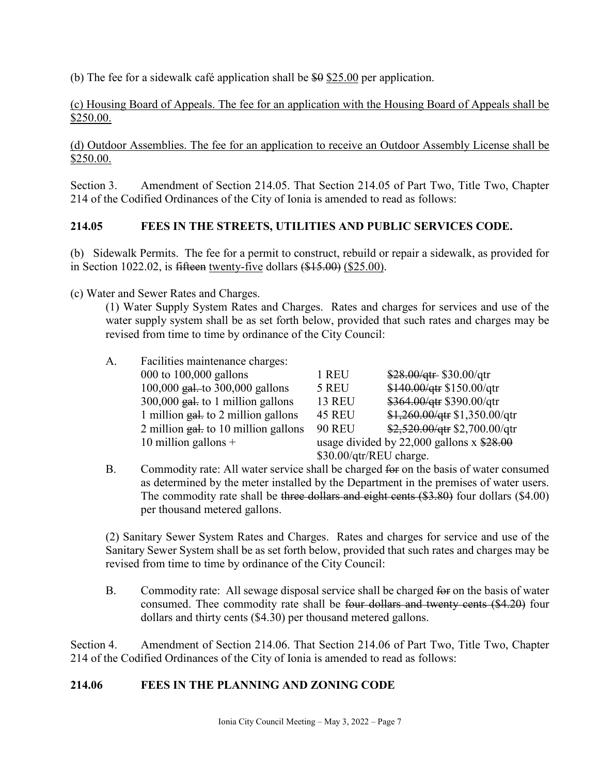(b) The fee for a sidewalk café application shall be  $$9 \, $25.00$  per application.

(c) Housing Board of Appeals. The fee for an application with the Housing Board of Appeals shall be \$250.00.

(d) Outdoor Assemblies. The fee for an application to receive an Outdoor Assembly License shall be \$250.00.

Section 3. Amendment of Section 214.05. That Section 214.05 of Part Two, Title Two, Chapter 214 of the Codified Ordinances of the City of Ionia is amended to read as follows:

## **214.05 FEES IN THE STREETS, UTILITIES AND PUBLIC SERVICES CODE.**

(b) Sidewalk Permits. The fee for a permit to construct, rebuild or repair a sidewalk, as provided for in Section 1022.02, is fifteen twenty-five dollars (\$15.00) (\$25.00).

(c) Water and Sewer Rates and Charges.

(1) Water Supply System Rates and Charges. Rates and charges for services and use of the water supply system shall be as set forth below, provided that such rates and charges may be revised from time to time by ordinance of the City Council:

| A. | Facilities maintenance charges:                 |                         |                                              |
|----|-------------------------------------------------|-------------------------|----------------------------------------------|
|    | 000 to $100,000$ gallons                        | 1 REU                   | $$28.00/qtr$$ \$30.00/qtr                    |
|    | $100,000$ gal. to 300,000 gallons               | 5 REU                   | \$140.00/qtr \$150.00/qtr                    |
|    | $300,000$ gal. to 1 million gallons             | <b>13 REU</b>           | \$364.00/qtr \$390.00/qtr                    |
|    | 1 million $g_{\text{at}}$ to 2 million gallons  | <b>45 REU</b>           | $$1,260.00$ /qtr $$1,350.00$ /qtr            |
|    | 2 million $g_{\text{at}}$ to 10 million gallons | <b>90 REU</b>           | \$2,520.00/qtr \$2,700.00/qtr                |
|    | 10 million gallons $+$                          |                         | usage divided by $22,000$ gallons x $$28.00$ |
|    |                                                 | \$30.00/qtr/REU charge. |                                              |

B. Commodity rate: All water service shall be charged for on the basis of water consumed as determined by the meter installed by the Department in the premises of water users. The commodity rate shall be three dollars and eight cents (\$3.80) four dollars (\$4.00) per thousand metered gallons.

(2) Sanitary Sewer System Rates and Charges. Rates and charges for service and use of the Sanitary Sewer System shall be as set forth below, provided that such rates and charges may be revised from time to time by ordinance of the City Council:

B. Commodity rate: All sewage disposal service shall be charged for on the basis of water consumed. Thee commodity rate shall be four dollars and twenty cents (\$4.20) four dollars and thirty cents (\$4.30) per thousand metered gallons.

Section 4. Amendment of Section 214.06. That Section 214.06 of Part Two, Title Two, Chapter 214 of the Codified Ordinances of the City of Ionia is amended to read as follows:

### **214.06 FEES IN THE PLANNING AND ZONING CODE**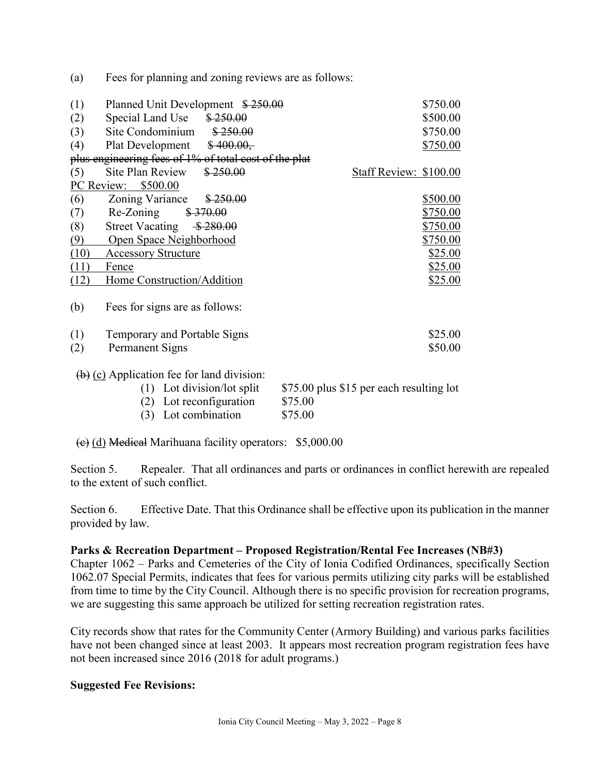(a) Fees for planning and zoning reviews are as follows:

| (1)        | Planned Unit Development \$250.00                                                                 | \$750.00                                 |
|------------|---------------------------------------------------------------------------------------------------|------------------------------------------|
| (2)        | Special Land Use<br>\$250.00                                                                      | \$500.00                                 |
| (3)        | Site Condominium<br>\$250.00                                                                      | \$750.00                                 |
| (4)        | Plat Development $$400.00,$                                                                       | \$750.00                                 |
|            | plus engineering fees of 1% of total cost of the plat                                             |                                          |
| (5)        | Site Plan Review<br>\$250.00                                                                      | Staff Review: \$100.00                   |
| PC Review: | \$500.00                                                                                          |                                          |
| (6)        | Zoning Variance<br>\$250.00                                                                       | \$500.00                                 |
| (7)        | \$370.00<br>Re-Zoning                                                                             | \$750.00                                 |
| (8)        | \$280.00<br><b>Street Vacating</b>                                                                | \$750.00                                 |
| (9)        | Open Space Neighborhood                                                                           | \$750.00                                 |
| (10)       | <b>Accessory Structure</b>                                                                        | \$25.00                                  |
| (11)       | Fence                                                                                             | <u>\$25.00</u>                           |
| (12)       | Home Construction/Addition                                                                        | \$25.00                                  |
| (b)        | Fees for signs are as follows:                                                                    |                                          |
| (1)        | Temporary and Portable Signs                                                                      | \$25.00                                  |
| (2)        | Permanent Signs                                                                                   | \$50.00                                  |
|            | $\left(\frac{b}{c}\right)$ (c) Application fee for land division:<br>$(1)$ Lot division/lot split | \$75.00 plus \$15 per each resulting lot |

(2) Lot reconfiguration  $$75.00$ 

(3) Lot combination \$75.00

(c) (d) Medical Marihuana facility operators: \$5,000.00

Section 5. Repealer. That all ordinances and parts or ordinances in conflict herewith are repealed to the extent of such conflict.

Section 6. Effective Date. That this Ordinance shall be effective upon its publication in the manner provided by law.

#### **Parks & Recreation Department – Proposed Registration/Rental Fee Increases (NB#3)**

Chapter 1062 – Parks and Cemeteries of the City of Ionia Codified Ordinances, specifically Section 1062.07 Special Permits, indicates that fees for various permits utilizing city parks will be established from time to time by the City Council. Although there is no specific provision for recreation programs, we are suggesting this same approach be utilized for setting recreation registration rates.

City records show that rates for the Community Center (Armory Building) and various parks facilities have not been changed since at least 2003. It appears most recreation program registration fees have not been increased since 2016 (2018 for adult programs.)

#### **Suggested Fee Revisions:**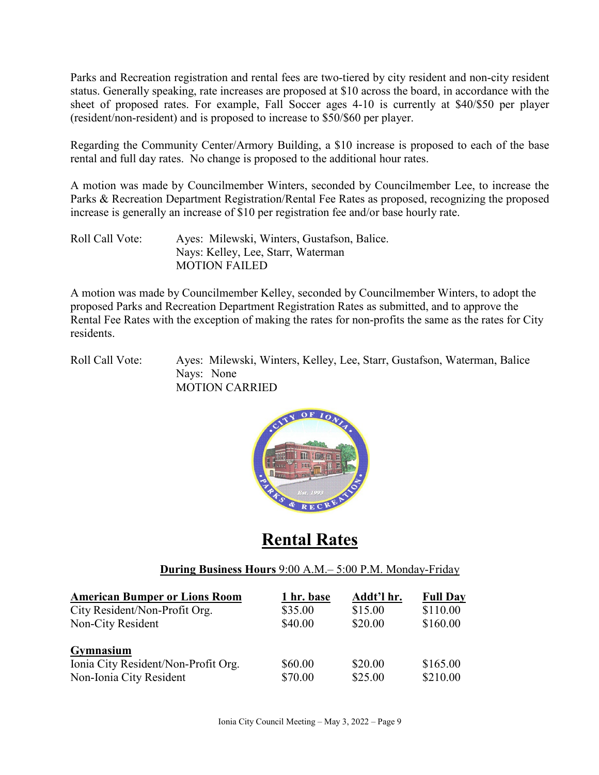Parks and Recreation registration and rental fees are two-tiered by city resident and non-city resident status. Generally speaking, rate increases are proposed at \$10 across the board, in accordance with the sheet of proposed rates. For example, Fall Soccer ages 4-10 is currently at \$40/\$50 per player (resident/non-resident) and is proposed to increase to \$50/\$60 per player.

Regarding the Community Center/Armory Building, a \$10 increase is proposed to each of the base rental and full day rates. No change is proposed to the additional hour rates.

A motion was made by Councilmember Winters, seconded by Councilmember Lee, to increase the Parks & Recreation Department Registration/Rental Fee Rates as proposed, recognizing the proposed increase is generally an increase of \$10 per registration fee and/or base hourly rate.

Roll Call Vote: Ayes: Milewski, Winters, Gustafson, Balice. Nays: Kelley, Lee, Starr, Waterman MOTION FAILED

A motion was made by Councilmember Kelley, seconded by Councilmember Winters, to adopt the proposed Parks and Recreation Department Registration Rates as submitted, and to approve the Rental Fee Rates with the exception of making the rates for non-profits the same as the rates for City residents.

Roll Call Vote: Ayes: Milewski, Winters, Kelley, Lee, Starr, Gustafson, Waterman, Balice Nays: None MOTION CARRIED



# **Rental Rates**

### **During Business Hours** 9:00 A.M.– 5:00 P.M. Monday-Friday

| <b>American Bumper or Lions Room</b> | 1 hr. base | Addt'l hr. | <b>Full Day</b> |
|--------------------------------------|------------|------------|-----------------|
| City Resident/Non-Profit Org.        | \$35.00    | \$15.00    | \$110.00        |
| Non-City Resident                    | \$40.00    | \$20.00    | \$160.00        |
| <b>Gymnasium</b>                     |            |            |                 |
| Ionia City Resident/Non-Profit Org.  | \$60.00    | \$20.00    | \$165.00        |
| Non-Ionia City Resident              | \$70.00    | \$25.00    | \$210.00        |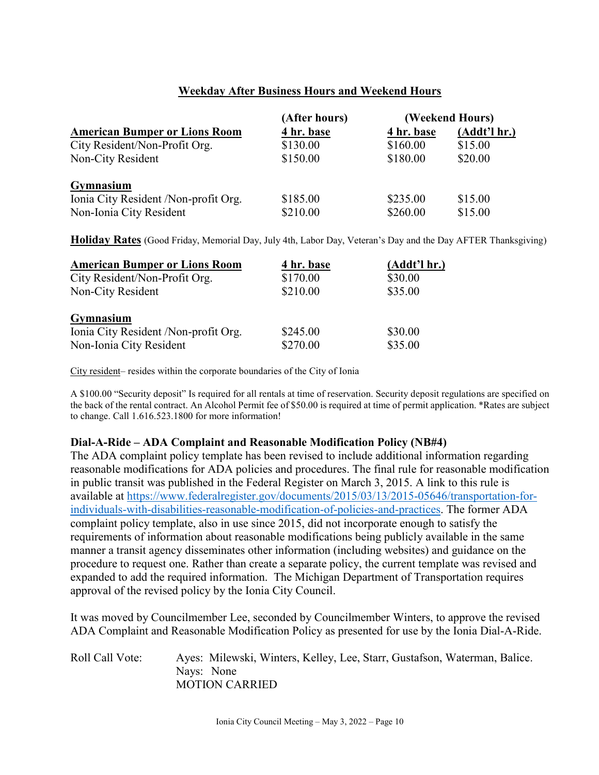### **Weekday After Business Hours and Weekend Hours**

|                                      | (After hours) | (Weekend Hours) |              |
|--------------------------------------|---------------|-----------------|--------------|
| <b>American Bumper or Lions Room</b> | 4 hr. base    | 4 hr. base      | (Addt'l hr.) |
| City Resident/Non-Profit Org.        | \$130.00      | \$160.00        | \$15.00      |
| Non-City Resident                    | \$150.00      | \$180.00        | \$20.00      |
| Gymnasium                            |               |                 |              |
| Ionia City Resident /Non-profit Org. | \$185.00      | \$235.00        | \$15.00      |
| Non-Ionia City Resident              | \$210.00      | \$260.00        | \$15.00      |

**Holiday Rates** (Good Friday, Memorial Day, July 4th, Labor Day, Veteran's Day and the Day AFTER Thanksgiving)

| <b>American Bumper or Lions Room</b> | 4 hr. base | (Addt'lhr.) |
|--------------------------------------|------------|-------------|
| City Resident/Non-Profit Org.        | \$170.00   | \$30.00     |
| Non-City Resident                    | \$210.00   | \$35.00     |
| <b>Gymnasium</b>                     |            |             |
| Ionia City Resident /Non-profit Org. | \$245.00   | \$30.00     |
| Non-Ionia City Resident              | \$270.00   | \$35.00     |

City resident– resides within the corporate boundaries of the City of Ionia

A \$100.00 "Security deposit" Is required for all rentals at time of reservation. Security deposit regulations are specified on the back of the rental contract. An Alcohol Permit fee of \$50.00 is required at time of permit application. \*Rates are subject to change. Call 1.616.523.1800 for more information!

#### **Dial-A-Ride – ADA Complaint and Reasonable Modification Policy (NB#4)**

The ADA complaint policy template has been revised to include additional information regarding reasonable modifications for ADA policies and procedures. The final rule for reasonable modification in public transit was published in the Federal Register on March 3, 2015. A link to this rule is available at [https://www.federalregister.gov/documents/2015/03/13/2015-05646/transportation-for](https://www.federalregister.gov/documents/2015/03/13/2015-05646/transportation-for-individuals-with-disabilities-reasonable-modification-of-policies-and-practices)[individuals-with-disabilities-reasonable-modification-of-policies-and-practices.](https://www.federalregister.gov/documents/2015/03/13/2015-05646/transportation-for-individuals-with-disabilities-reasonable-modification-of-policies-and-practices) The former ADA complaint policy template, also in use since 2015, did not incorporate enough to satisfy the requirements of information about reasonable modifications being publicly available in the same manner a transit agency disseminates other information (including websites) and guidance on the procedure to request one. Rather than create a separate policy, the current template was revised and expanded to add the required information. The Michigan Department of Transportation requires approval of the revised policy by the Ionia City Council.

It was moved by Councilmember Lee, seconded by Councilmember Winters, to approve the revised ADA Complaint and Reasonable Modification Policy as presented for use by the Ionia Dial-A-Ride.

| Roll Call Vote: | Ayes: Milewski, Winters, Kelley, Lee, Starr, Gustafson, Waterman, Balice. |
|-----------------|---------------------------------------------------------------------------|
|                 | Nays: None                                                                |
|                 | <b>MOTION CARRIED</b>                                                     |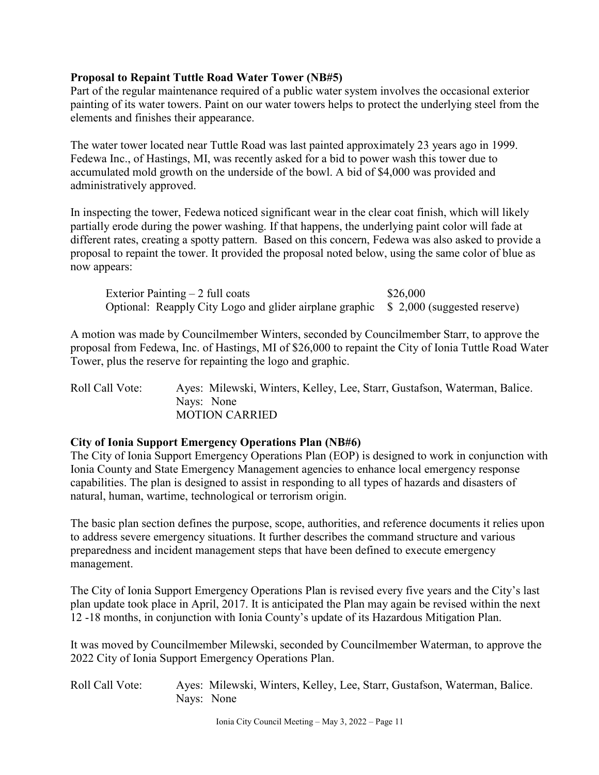#### **Proposal to Repaint Tuttle Road Water Tower (NB#5)**

Part of the regular maintenance required of a public water system involves the occasional exterior painting of its water towers. Paint on our water towers helps to protect the underlying steel from the elements and finishes their appearance.

The water tower located near Tuttle Road was last painted approximately 23 years ago in 1999. Fedewa Inc., of Hastings, MI, was recently asked for a bid to power wash this tower due to accumulated mold growth on the underside of the bowl. A bid of \$4,000 was provided and administratively approved.

In inspecting the tower, Fedewa noticed significant wear in the clear coat finish, which will likely partially erode during the power washing. If that happens, the underlying paint color will fade at different rates, creating a spotty pattern. Based on this concern, Fedewa was also asked to provide a proposal to repaint the tower. It provided the proposal noted below, using the same color of blue as now appears:

| Exterior Painting $-2$ full coats                                                       | \$26,000 |
|-----------------------------------------------------------------------------------------|----------|
| Optional: Reapply City Logo and glider airplane graphic \ \ \ 2,000 (suggested reserve) |          |

A motion was made by Councilmember Winters, seconded by Councilmember Starr, to approve the proposal from Fedewa, Inc. of Hastings, MI of \$26,000 to repaint the City of Ionia Tuttle Road Water Tower, plus the reserve for repainting the logo and graphic.

Roll Call Vote: Ayes: Milewski, Winters, Kelley, Lee, Starr, Gustafson, Waterman, Balice. Nays: None MOTION CARRIED

#### **City of Ionia Support Emergency Operations Plan (NB#6)**

The City of Ionia Support Emergency Operations Plan (EOP) is designed to work in conjunction with Ionia County and State Emergency Management agencies to enhance local emergency response capabilities. The plan is designed to assist in responding to all types of hazards and disasters of natural, human, wartime, technological or terrorism origin.

The basic plan section defines the purpose, scope, authorities, and reference documents it relies upon to address severe emergency situations. It further describes the command structure and various preparedness and incident management steps that have been defined to execute emergency management.

The City of Ionia Support Emergency Operations Plan is revised every five years and the City's last plan update took place in April, 2017. It is anticipated the Plan may again be revised within the next 12 -18 months, in conjunction with Ionia County's update of its Hazardous Mitigation Plan.

It was moved by Councilmember Milewski, seconded by Councilmember Waterman, to approve the 2022 City of Ionia Support Emergency Operations Plan.

Roll Call Vote: Ayes: Milewski, Winters, Kelley, Lee, Starr, Gustafson, Waterman, Balice. Nays: None